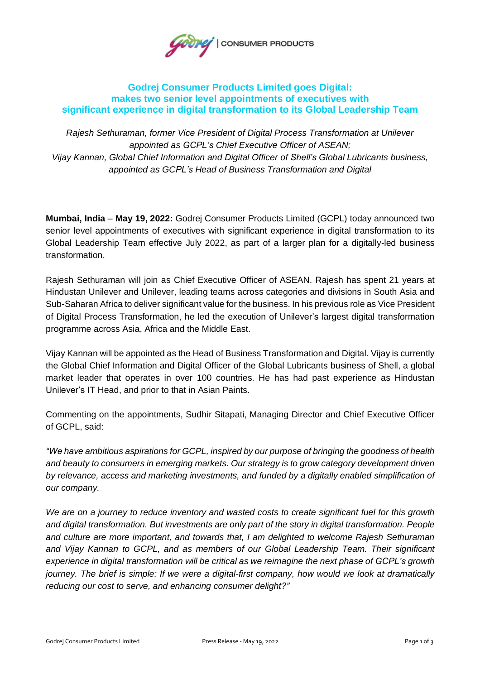

## **Godrej Consumer Products Limited goes Digital: makes two senior level appointments of executives with significant experience in digital transformation to its Global Leadership Team**

*Rajesh Sethuraman, former Vice President of Digital Process Transformation at Unilever appointed as GCPL's Chief Executive Officer of ASEAN; Vijay Kannan, Global Chief Information and Digital Officer of Shell's Global Lubricants business, appointed as GCPL's Head of Business Transformation and Digital*

**Mumbai, India** – **May 19, 2022:** Godrej Consumer Products Limited (GCPL) today announced two senior level appointments of executives with significant experience in digital transformation to its Global Leadership Team effective July 2022, as part of a larger plan for a digitally-led business transformation.

Rajesh Sethuraman will join as Chief Executive Officer of ASEAN. Rajesh has spent 21 years at Hindustan Unilever and Unilever, leading teams across categories and divisions in South Asia and Sub-Saharan Africa to deliver significant value for the business. In his previous role as Vice President of Digital Process Transformation, he led the execution of Unilever's largest digital transformation programme across Asia, Africa and the Middle East.

Vijay Kannan will be appointed as the Head of Business Transformation and Digital. Vijay is currently the Global Chief Information and Digital Officer of the Global Lubricants business of Shell, a global market leader that operates in over 100 countries. He has had past experience as Hindustan Unilever's IT Head, and prior to that in Asian Paints.

Commenting on the appointments, Sudhir Sitapati, Managing Director and Chief Executive Officer of GCPL, said:

*"We have ambitious aspirations for GCPL, inspired by our purpose of bringing the goodness of health and beauty to consumers in emerging markets. Our strategy is to grow category development driven by relevance, access and marketing investments, and funded by a digitally enabled simplification of our company.*

We are on a journey to reduce inventory and wasted costs to create significant fuel for this growth *and digital transformation. But investments are only part of the story in digital transformation. People and culture are more important, and towards that, I am delighted to welcome Rajesh Sethuraman and Vijay Kannan to GCPL, and as members of our Global Leadership Team. Their significant experience in digital transformation will be critical as we reimagine the next phase of GCPL's growth journey. The brief is simple: If we were a digital-first company, how would we look at dramatically reducing our cost to serve, and enhancing consumer delight?"*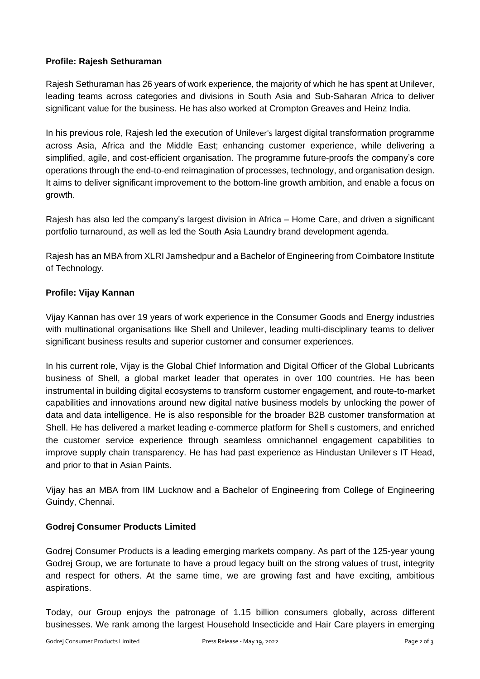## **Profile: Rajesh Sethuraman**

Rajesh Sethuraman has 26 years of work experience, the majority of which he has spent at Unilever, leading teams across categories and divisions in South Asia and Sub-Saharan Africa to deliver significant value for the business. He has also worked at Crompton Greaves and Heinz India.

In his previous role, Rajesh led the execution of Unilever's largest digital transformation programme across Asia, Africa and the Middle East; enhancing customer experience, while delivering a simplified, agile, and cost-efficient organisation. The programme future-proofs the company's core operations through the end-to-end reimagination of processes, technology, and organisation design. It aims to deliver significant improvement to the bottom-line growth ambition, and enable a focus on growth.

Rajesh has also led the company's largest division in Africa – Home Care, and driven a significant portfolio turnaround, as well as led the South Asia Laundry brand development agenda.

Rajesh has an MBA from XLRI Jamshedpur and a Bachelor of Engineering from Coimbatore Institute of Technology.

## **Profile: Vijay Kannan**

Vijay Kannan has over 19 years of work experience in the Consumer Goods and Energy industries with multinational organisations like Shell and Unilever, leading multi-disciplinary teams to deliver significant business results and superior customer and consumer experiences.

In his current role, Vijay is the Global Chief Information and Digital Officer of the Global Lubricants business of Shell, a global market leader that operates in over 100 countries. He has been instrumental in building digital ecosystems to transform customer engagement, and route-to-market capabilities and innovations around new digital native business models by unlocking the power of data and data intelligence. He is also responsible for the broader B2B customer transformation at Shell. He has delivered a market leading e-commerce platform for Shell s customers, and enriched the customer service experience through seamless omnichannel engagement capabilities to improve supply chain transparency. He has had past experience as Hindustan Unilever s IT Head, and prior to that in Asian Paints.

Vijay has an MBA from IIM Lucknow and a Bachelor of Engineering from College of Engineering Guindy, Chennai.

## **Godrej Consumer Products Limited**

Godrej Consumer Products is a leading emerging markets company. As part of the 125-year young Godrej Group, we are fortunate to have a proud legacy built on the strong values of trust, integrity and respect for others. At the same time, we are growing fast and have exciting, ambitious aspirations.

Today, our Group enjoys the patronage of 1.15 billion consumers globally, across different businesses. We rank among the largest Household Insecticide and Hair Care players in emerging